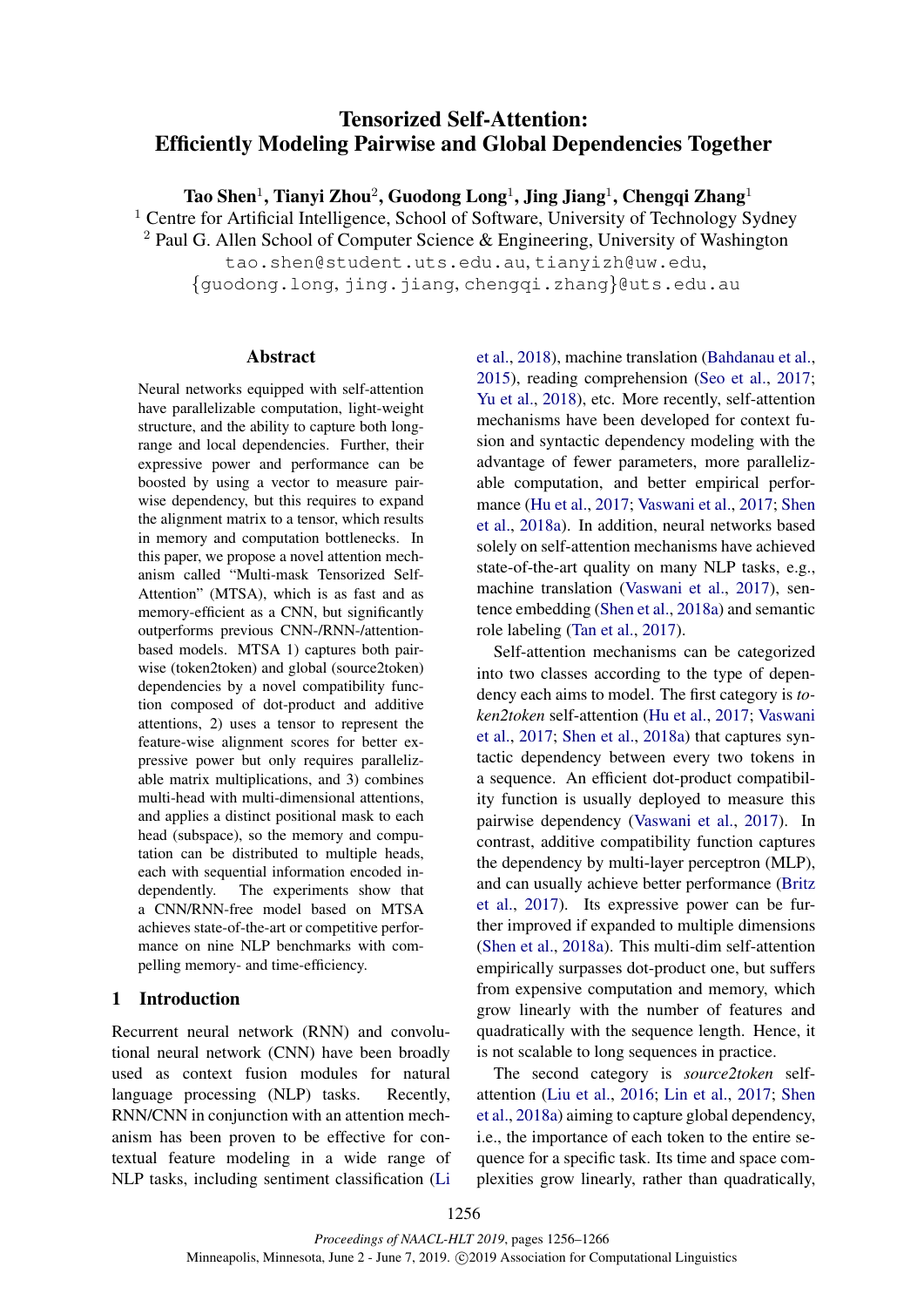# Tensorized Self-Attention: Efficiently Modeling Pairwise and Global Dependencies Together

Tao Shen $^1$ , Tianyi Zhou $^2$ , Guodong Long $^1$ , Jing Jiang $^1$ , Chengqi Zhang $^1$ 

 $1$  Centre for Artificial Intelligence, School of Software, University of Technology Sydney

<sup>2</sup> Paul G. Allen School of Computer Science & Engineering, University of Washington

tao.shen@student.uts.edu.au, tianyizh@uw.edu, {guodong.long, jing.jiang, chengqi.zhang}@uts.edu.au

# Abstract

Neural networks equipped with self-attention have parallelizable computation, light-weight structure, and the ability to capture both longrange and local dependencies. Further, their expressive power and performance can be boosted by using a vector to measure pairwise dependency, but this requires to expand the alignment matrix to a tensor, which results in memory and computation bottlenecks. In this paper, we propose a novel attention mechanism called "Multi-mask Tensorized Self-Attention" (MTSA), which is as fast and as memory-efficient as a CNN, but significantly outperforms previous CNN-/RNN-/attentionbased models. MTSA 1) captures both pairwise (token2token) and global (source2token) dependencies by a novel compatibility function composed of dot-product and additive attentions, 2) uses a tensor to represent the feature-wise alignment scores for better expressive power but only requires parallelizable matrix multiplications, and 3) combines multi-head with multi-dimensional attentions, and applies a distinct positional mask to each head (subspace), so the memory and computation can be distributed to multiple heads, each with sequential information encoded independently. The experiments show that a CNN/RNN-free model based on MTSA achieves state-of-the-art or competitive performance on nine NLP benchmarks with compelling memory- and time-efficiency.

# 1 Introduction

Recurrent neural network (RNN) and convolutional neural network (CNN) have been broadly used as context fusion modules for natural language processing (NLP) tasks. Recently, RNN/CNN in conjunction with an attention mechanism has been proven to be effective for contextual feature modeling in a wide range of NLP tasks, including sentiment classification (Li et al., 2018), machine translation (Bahdanau et al., 2015), reading comprehension (Seo et al., 2017; Yu et al., 2018), etc. More recently, self-attention mechanisms have been developed for context fusion and syntactic dependency modeling with the advantage of fewer parameters, more parallelizable computation, and better empirical performance (Hu et al., 2017; Vaswani et al., 2017; Shen et al., 2018a). In addition, neural networks based solely on self-attention mechanisms have achieved state-of-the-art quality on many NLP tasks, e.g., machine translation (Vaswani et al., 2017), sentence embedding (Shen et al., 2018a) and semantic role labeling (Tan et al., 2017).

Self-attention mechanisms can be categorized into two classes according to the type of dependency each aims to model. The first category is *token2token* self-attention (Hu et al., 2017; Vaswani et al., 2017; Shen et al., 2018a) that captures syntactic dependency between every two tokens in a sequence. An efficient dot-product compatibility function is usually deployed to measure this pairwise dependency (Vaswani et al., 2017). In contrast, additive compatibility function captures the dependency by multi-layer perceptron (MLP), and can usually achieve better performance (Britz et al., 2017). Its expressive power can be further improved if expanded to multiple dimensions (Shen et al., 2018a). This multi-dim self-attention empirically surpasses dot-product one, but suffers from expensive computation and memory, which grow linearly with the number of features and quadratically with the sequence length. Hence, it is not scalable to long sequences in practice.

The second category is *source2token* selfattention (Liu et al., 2016; Lin et al., 2017; Shen et al., 2018a) aiming to capture global dependency, i.e., the importance of each token to the entire sequence for a specific task. Its time and space complexities grow linearly, rather than quadratically,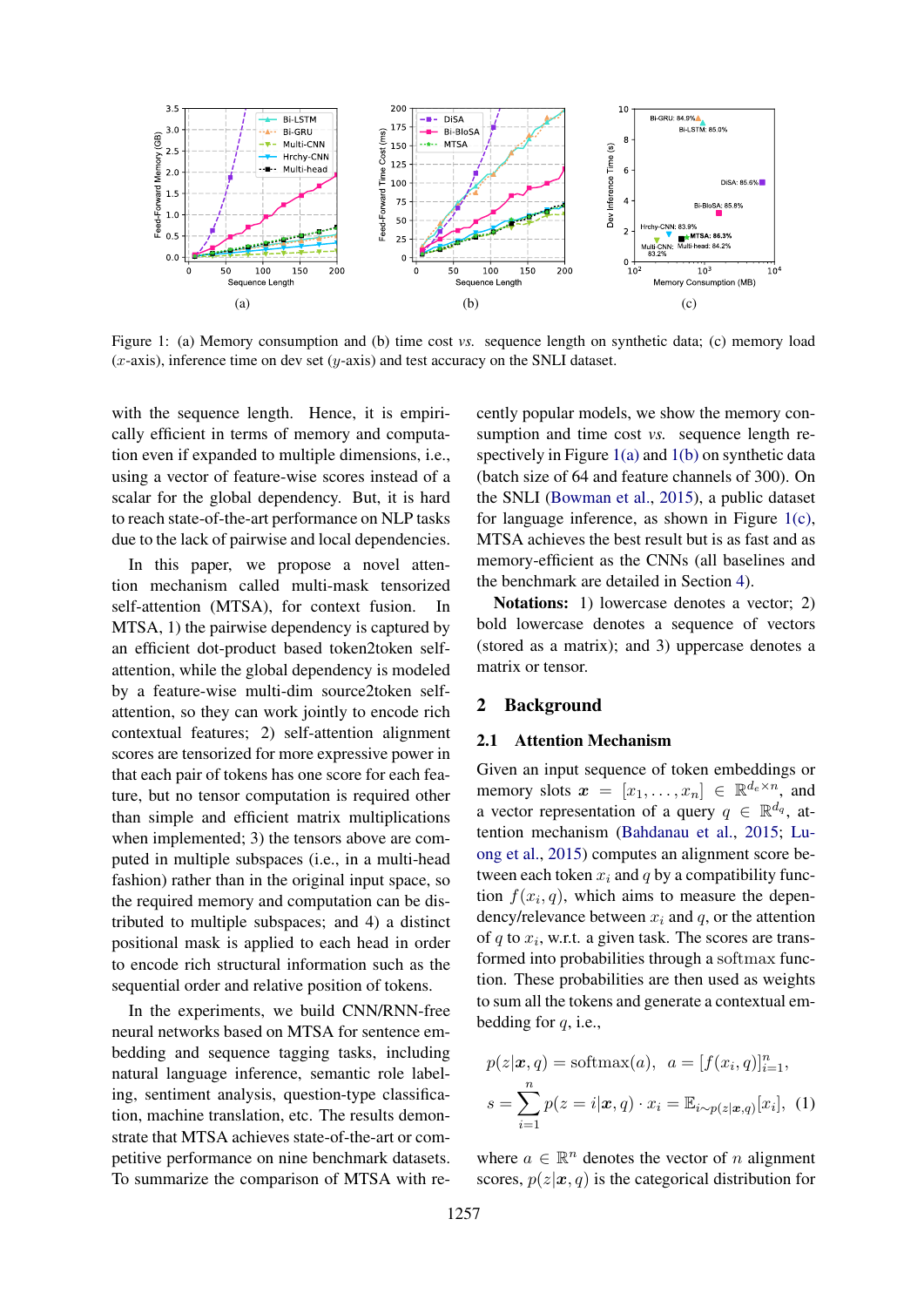

Figure 1: (a) Memory consumption and (b) time cost *vs.* sequence length on synthetic data; (c) memory load  $(x$ -axis), inference time on dev set  $(y$ -axis) and test accuracy on the SNLI dataset.

with the sequence length. Hence, it is empirically efficient in terms of memory and computation even if expanded to multiple dimensions, i.e., using a vector of feature-wise scores instead of a scalar for the global dependency. But, it is hard to reach state-of-the-art performance on NLP tasks due to the lack of pairwise and local dependencies.

In this paper, we propose a novel attention mechanism called multi-mask tensorized self-attention (MTSA), for context fusion. In MTSA, 1) the pairwise dependency is captured by an efficient dot-product based token2token selfattention, while the global dependency is modeled by a feature-wise multi-dim source2token selfattention, so they can work jointly to encode rich contextual features; 2) self-attention alignment scores are tensorized for more expressive power in that each pair of tokens has one score for each feature, but no tensor computation is required other than simple and efficient matrix multiplications when implemented; 3) the tensors above are computed in multiple subspaces (i.e., in a multi-head fashion) rather than in the original input space, so the required memory and computation can be distributed to multiple subspaces; and 4) a distinct positional mask is applied to each head in order to encode rich structural information such as the sequential order and relative position of tokens.

In the experiments, we build CNN/RNN-free neural networks based on MTSA for sentence embedding and sequence tagging tasks, including natural language inference, semantic role labeling, sentiment analysis, question-type classification, machine translation, etc. The results demonstrate that MTSA achieves state-of-the-art or competitive performance on nine benchmark datasets. To summarize the comparison of MTSA with recently popular models, we show the memory consumption and time cost *vs.* sequence length respectively in Figure  $1(a)$  and  $1(b)$  on synthetic data (batch size of 64 and feature channels of 300). On the SNLI (Bowman et al., 2015), a public dataset for language inference, as shown in Figure  $1(c)$ , MTSA achieves the best result but is as fast and as memory-efficient as the CNNs (all baselines and the benchmark are detailed in Section 4).

Notations: 1) lowercase denotes a vector; 2) bold lowercase denotes a sequence of vectors (stored as a matrix); and 3) uppercase denotes a matrix or tensor.

# 2 Background

## 2.1 Attention Mechanism

Given an input sequence of token embeddings or memory slots  $\boldsymbol{x} = [x_1, \dots, x_n] \in \mathbb{R}^{d_e \times n}$ , and a vector representation of a query  $q \in \mathbb{R}^{d_q}$ , attention mechanism (Bahdanau et al., 2015; Luong et al., 2015) computes an alignment score between each token  $x_i$  and q by a compatibility function  $f(x_i, q)$ , which aims to measure the dependency/relevance between  $x_i$  and  $q$ , or the attention of  $q$  to  $x_i$ , w.r.t. a given task. The scores are transformed into probabilities through a softmax function. These probabilities are then used as weights to sum all the tokens and generate a contextual embedding for  $q$ , i.e.,

$$
p(z|\boldsymbol{x}, q) = \text{softmax}(a), \ \ a = [f(x_i, q)]_{i=1}^n,
$$

$$
s = \sum_{i=1}^n p(z = i|\boldsymbol{x}, q) \cdot x_i = \mathbb{E}_{i \sim p(z|\boldsymbol{x}, q)}[x_i], \ \ (1)
$$

where  $a \in \mathbb{R}^n$  denotes the vector of n alignment scores,  $p(z|\mathbf{x}, q)$  is the categorical distribution for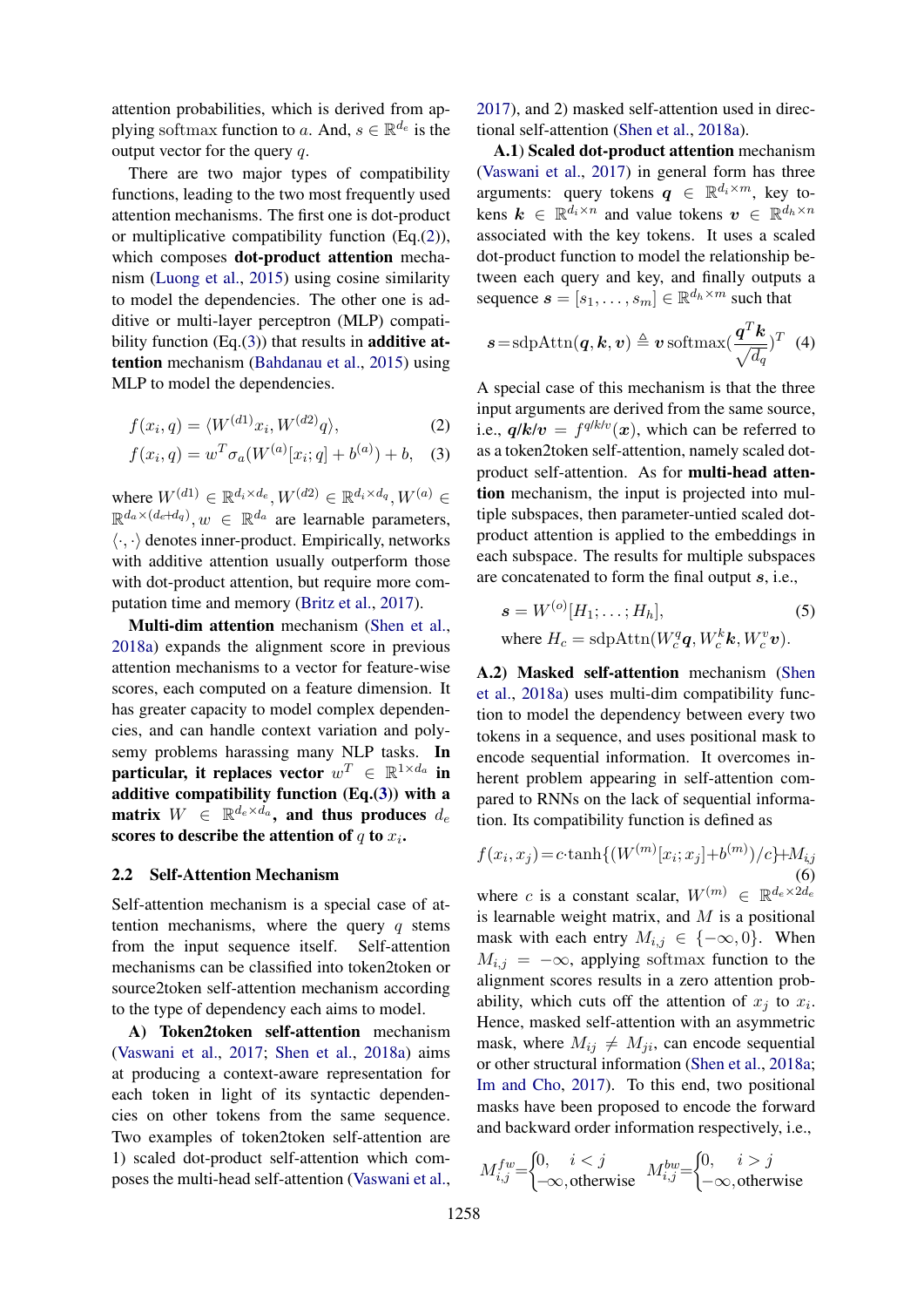attention probabilities, which is derived from applying softmax function to a. And,  $s \in \mathbb{R}^{d_e}$  is the output vector for the query  $q$ .

There are two major types of compatibility functions, leading to the two most frequently used attention mechanisms. The first one is dot-product or multiplicative compatibility function (Eq.(2)), which composes dot-product attention mechanism (Luong et al., 2015) using cosine similarity to model the dependencies. The other one is additive or multi-layer perceptron (MLP) compatibility function  $(Eq.(3))$  that results in **additive at**tention mechanism (Bahdanau et al., 2015) using MLP to model the dependencies.

$$
f(x_i, q) = \langle W^{(d1)} x_i, W^{(d2)} q \rangle,
$$
 (2)

$$
f(x_i, q) = w^T \sigma_a(W^{(a)}[x_i; q] + b^{(a)}) + b, \quad (3)
$$

where  $W^{(d1)} \in \mathbb{R}^{d_i \times d_e}$ ,  $W^{(d2)} \in \mathbb{R}^{d_i \times d_q}$ ,  $W^{(a)} \in$  $\mathbb{R}^{d_a \times (d_e + d_q)}, w \in \mathbb{R}^{d_a}$  are learnable parameters,  $\langle \cdot, \cdot \rangle$  denotes inner-product. Empirically, networks with additive attention usually outperform those with dot-product attention, but require more computation time and memory (Britz et al., 2017).

Multi-dim attention mechanism (Shen et al., 2018a) expands the alignment score in previous attention mechanisms to a vector for feature-wise scores, each computed on a feature dimension. It has greater capacity to model complex dependencies, and can handle context variation and polysemy problems harassing many NLP tasks. In particular, it replaces vector  $w^T \in \mathbb{R}^{1 \times d_a}$  in additive compatibility function  $(Eq.(3))$  with a matrix  $W$   $\in$   $\mathbb{R}^{d_e \times d_a}$ , and thus produces  $d_e$ scores to describe the attention of  $q$  to  $x_i$ .

## 2.2 Self-Attention Mechanism

Self-attention mechanism is a special case of attention mechanisms, where the query  $q$  stems from the input sequence itself. Self-attention mechanisms can be classified into token2token or source2token self-attention mechanism according to the type of dependency each aims to model.

A) Token2token self-attention mechanism (Vaswani et al., 2017; Shen et al., 2018a) aims at producing a context-aware representation for each token in light of its syntactic dependencies on other tokens from the same sequence. Two examples of token2token self-attention are 1) scaled dot-product self-attention which composes the multi-head self-attention (Vaswani et al.,

2017), and 2) masked self-attention used in directional self-attention (Shen et al., 2018a).

A.1) Scaled dot-product attention mechanism (Vaswani et al., 2017) in general form has three arguments: query tokens  $q \in \mathbb{R}^{d_i \times m}$ , key tokens  $\mathbf{k} \in \mathbb{R}^{d_i \times n}$  and value tokens  $\mathbf{v} \in \mathbb{R}^{d_h \times n}$ associated with the key tokens. It uses a scaled dot-product function to model the relationship between each query and key, and finally outputs a sequence  $\boldsymbol{s} = [s_1, \dots, s_m] \in \mathbb{R}^{d_h \times m}$  such that

$$
\boldsymbol{s}\!=\!\mathrm{sdpAttn}(\boldsymbol{q},\boldsymbol{k},\boldsymbol{v})\triangleq\boldsymbol{v}\,\mathrm{softmax}(\frac{\boldsymbol{q}^T\boldsymbol{k}}{\sqrt{d_q}})^T\ \ (4)
$$

A special case of this mechanism is that the three input arguments are derived from the same source, i.e.,  $q/k/v = f^{q/k/v}(x)$ , which can be referred to as a token2token self-attention, namely scaled dotproduct self-attention. As for multi-head attention mechanism, the input is projected into multiple subspaces, then parameter-untied scaled dotproduct attention is applied to the embeddings in each subspace. The results for multiple subspaces are concatenated to form the final output s, i.e.,

$$
\mathbf{s} = W^{(o)}[H_1; \dots; H_h],
$$
\nwhere  $H_c = \text{sdpAttn}(W_c^q \mathbf{q}, W_c^k \mathbf{k}, W_c^v \mathbf{v}).$ 

A.2) Masked self-attention mechanism (Shen et al., 2018a) uses multi-dim compatibility function to model the dependency between every two tokens in a sequence, and uses positional mask to encode sequential information. It overcomes inherent problem appearing in self-attention compared to RNNs on the lack of sequential information. Its compatibility function is defined as

$$
f(x_i, x_j) = c \cdot \tanh\{(W^{(m)}[x_i; x_j] + b^{(m)})/c\} + M_{i,j}
$$
\n(6)

where c is a constant scalar,  $W^{(m)} \in \mathbb{R}^{d_e \times 2d_e}$ is learnable weight matrix, and  $M$  is a positional mask with each entry  $M_{i,j} \in \{-\infty, 0\}$ . When  $M_{i,j} = -\infty$ , applying softmax function to the alignment scores results in a zero attention probability, which cuts off the attention of  $x_j$  to  $x_i$ . Hence, masked self-attention with an asymmetric mask, where  $M_{ij} \neq M_{ji}$ , can encode sequential or other structural information (Shen et al., 2018a; Im and Cho, 2017). To this end, two positional masks have been proposed to encode the forward and backward order information respectively, i.e.,

$$
M_{i,j}^{fw} = \begin{cases} 0, & i < j \\ -\infty, \text{otherwise} \end{cases} \quad M_{i,j}^{bw} = \begin{cases} 0, & i > j \\ -\infty, \text{otherwise} \end{cases}
$$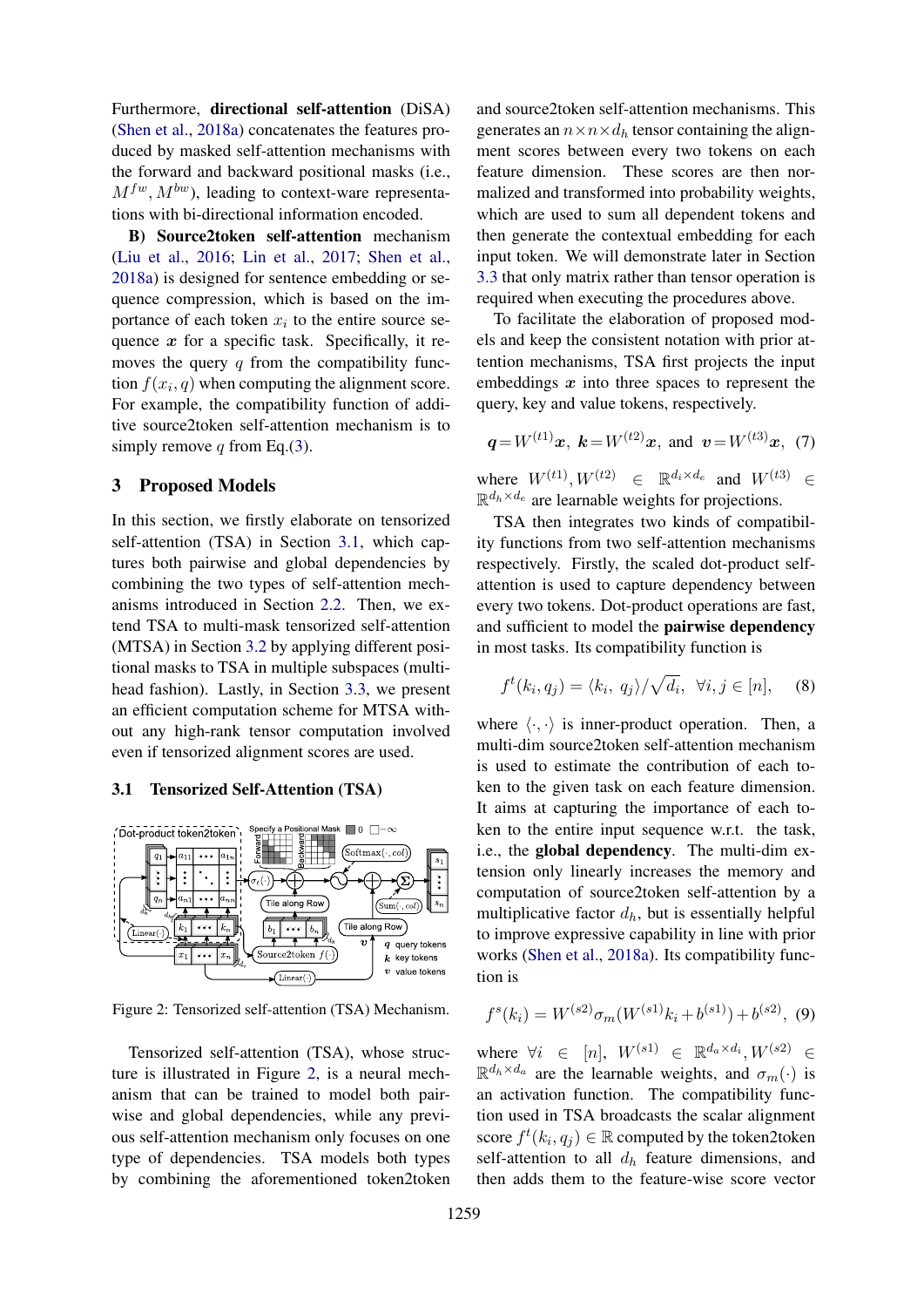Furthermore, directional self-attention (DiSA) (Shen et al., 2018a) concatenates the features produced by masked self-attention mechanisms with the forward and backward positional masks (i.e.,  $M^{fw}$ ,  $M^{bw}$ ), leading to context-ware representations with bi-directional information encoded.

B) Source2token self-attention mechanism (Liu et al., 2016; Lin et al., 2017; Shen et al., 2018a) is designed for sentence embedding or sequence compression, which is based on the importance of each token  $x_i$  to the entire source sequence  $x$  for a specific task. Specifically, it removes the query  $q$  from the compatibility function  $f(x_i, q)$  when computing the alignment score. For example, the compatibility function of additive source2token self-attention mechanism is to simply remove q from Eq.(3).

## 3 Proposed Models

In this section, we firstly elaborate on tensorized self-attention (TSA) in Section 3.1, which captures both pairwise and global dependencies by combining the two types of self-attention mechanisms introduced in Section 2.2. Then, we extend TSA to multi-mask tensorized self-attention (MTSA) in Section 3.2 by applying different positional masks to TSA in multiple subspaces (multihead fashion). Lastly, in Section 3.3, we present an efficient computation scheme for MTSA without any high-rank tensor computation involved even if tensorized alignment scores are used.

#### 3.1 Tensorized Self-Attention (TSA)



Figure 2: Tensorized self-attention (TSA) Mechanism.

Tensorized self-attention (TSA), whose structure is illustrated in Figure 2, is a neural mechanism that can be trained to model both pairwise and global dependencies, while any previous self-attention mechanism only focuses on one type of dependencies. TSA models both types by combining the aforementioned token2token

and source2token self-attention mechanisms. This generates an  $n \times n \times d_h$  tensor containing the alignment scores between every two tokens on each feature dimension. These scores are then normalized and transformed into probability weights, which are used to sum all dependent tokens and then generate the contextual embedding for each input token. We will demonstrate later in Section 3.3 that only matrix rather than tensor operation is required when executing the procedures above.

To facilitate the elaboration of proposed models and keep the consistent notation with prior attention mechanisms, TSA first projects the input embeddings  $x$  into three spaces to represent the query, key and value tokens, respectively.

$$
q=W^{(t1)}x
$$
,  $k=W^{(t2)}x$ , and  $v=W^{(t3)}x$ , (7)

where  $W^{(t)}$ ,  $W^{(t)} \in \mathbb{R}^{d_i \times d_e}$  and  $W^{(t)} \in$  $\mathbb{R}^{d_h \times d_e}$  are learnable weights for projections.

TSA then integrates two kinds of compatibility functions from two self-attention mechanisms respectively. Firstly, the scaled dot-product selfattention is used to capture dependency between every two tokens. Dot-product operations are fast, and sufficient to model the pairwise dependency in most tasks. Its compatibility function is

$$
f^t(k_i, q_j) = \langle k_i, q_j \rangle / \sqrt{d_i}, \ \forall i, j \in [n], \quad (8)
$$

where  $\langle \cdot, \cdot \rangle$  is inner-product operation. Then, a multi-dim source2token self-attention mechanism is used to estimate the contribution of each token to the given task on each feature dimension. It aims at capturing the importance of each token to the entire input sequence w.r.t. the task, i.e., the global dependency. The multi-dim extension only linearly increases the memory and computation of source2token self-attention by a multiplicative factor  $d_h$ , but is essentially helpful to improve expressive capability in line with prior works (Shen et al., 2018a). Its compatibility function is

$$
f^{s}(k_i) = W^{(s2)} \sigma_m(W^{(s1)} k_i + b^{(s1)}) + b^{(s2)}, \tag{9}
$$

where  $\forall i \in [n], W^{(s_1)} \in \mathbb{R}^{d_a \times d_i}, W^{(s_2)} \in$  $\mathbb{R}^{d_h \times d_a}$  are the learnable weights, and  $\sigma_m(\cdot)$  is an activation function. The compatibility function used in TSA broadcasts the scalar alignment score  $f^t(k_i, q_j) \in \mathbb{R}$  computed by the token2token self-attention to all  $d<sub>h</sub>$  feature dimensions, and then adds them to the feature-wise score vector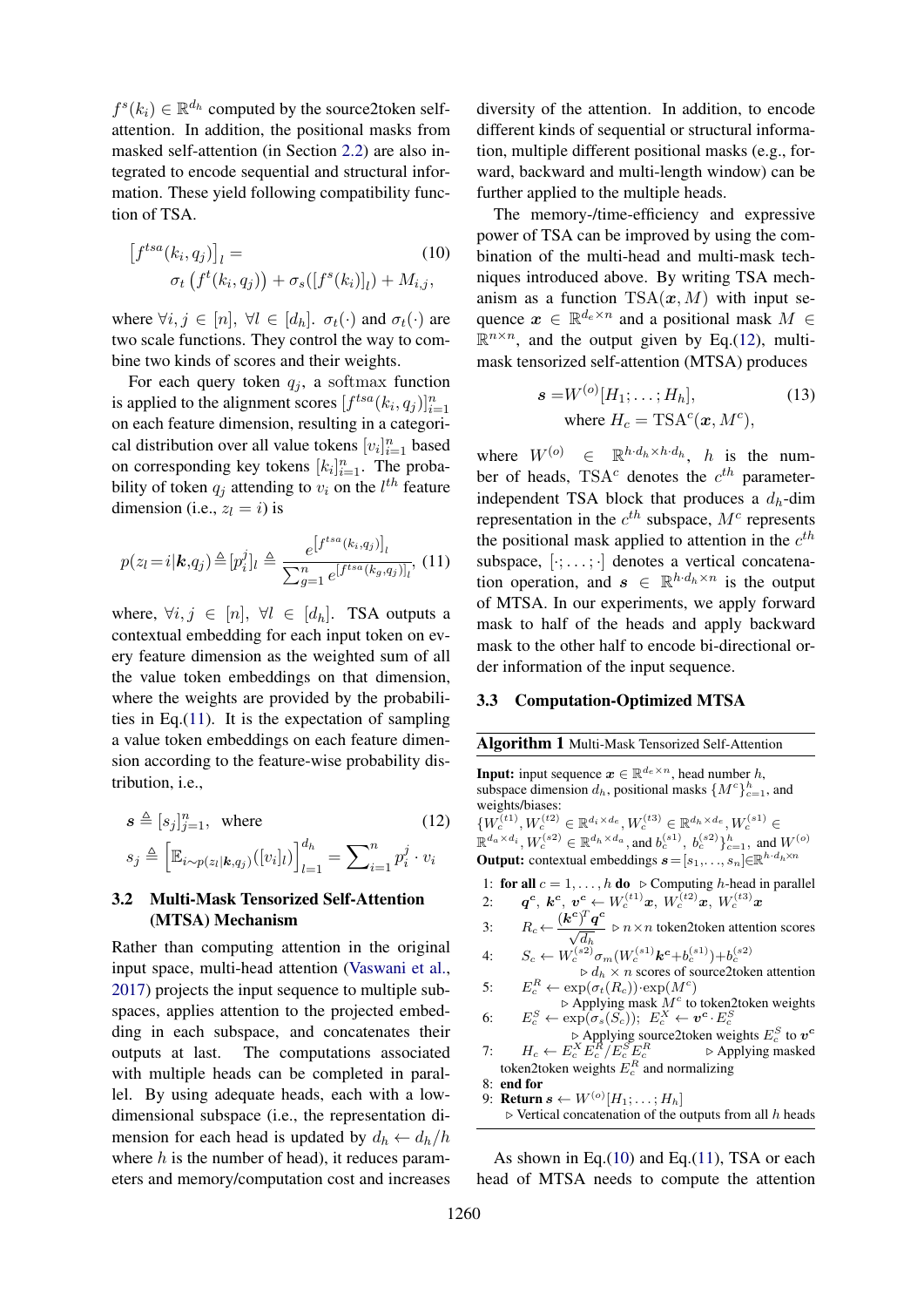$f^s(k_i) \in \mathbb{R}^{d_h}$  computed by the source2token selfattention. In addition, the positional masks from masked self-attention (in Section 2.2) are also integrated to encode sequential and structural information. These yield following compatibility function of TSA.

$$
\begin{aligned} \left[f^{tsa}(k_i, q_j)\right]_l &= \qquad (10) \\ \sigma_t\left(f^t(k_i, q_j)\right) + \sigma_s(\left[f^s(k_i)\right]_l) + M_{i,j}, \end{aligned}
$$

where  $\forall i, j \in [n], \forall l \in [d_h]$ .  $\sigma_t(\cdot)$  and  $\sigma_t(\cdot)$  are two scale functions. They control the way to combine two kinds of scores and their weights.

For each query token  $q_i$ , a softmax function is applied to the alignment scores  $[f^{tsa}(k_i, q_j)]_{i=1}^n$ on each feature dimension, resulting in a categorical distribution over all value tokens  $[v_i]_{i=1}^n$  based on corresponding key tokens  $[k_i]_{i=1}^n$ . The probability of token  $q_j$  attending to  $v_i$  on the  $l^{th}$  feature dimension (i.e.,  $z_l = i$ ) is

$$
p(z_l = i | \mathbf{k}, q_j) \triangleq [p_i^j]_l \triangleq \frac{e^{\left[f^{tsa}(k_i, q_j)\right]_l}}{\sum_{g=1}^n e^{\left[f^{tsa}(k_g, q_j)\right]_l}}, (11)
$$

where,  $\forall i, j \in [n], \forall l \in [d_h]$ . TSA outputs a contextual embedding for each input token on every feature dimension as the weighted sum of all the value token embeddings on that dimension, where the weights are provided by the probabilities in Eq.(11). It is the expectation of sampling a value token embeddings on each feature dimension according to the feature-wise probability distribution, i.e.,

$$
\mathbf{s} \triangleq [s_j]_{j=1}^n, \text{ where } (12)
$$

$$
s_j \triangleq \left[ \mathbb{E}_{i \sim p(z_l|\mathbf{k}, q_j)}([v_i]_l) \right]_{l=1}^{d_h} = \sum_{i=1}^n p_i^j \cdot v_i
$$

# 3.2 Multi-Mask Tensorized Self-Attention (MTSA) Mechanism

Rather than computing attention in the original input space, multi-head attention (Vaswani et al., 2017) projects the input sequence to multiple subspaces, applies attention to the projected embedding in each subspace, and concatenates their outputs at last. The computations associated with multiple heads can be completed in parallel. By using adequate heads, each with a lowdimensional subspace (i.e., the representation dimension for each head is updated by  $d_h \leftarrow d_h/h$ where  $h$  is the number of head), it reduces parameters and memory/computation cost and increases

diversity of the attention. In addition, to encode different kinds of sequential or structural information, multiple different positional masks (e.g., forward, backward and multi-length window) can be further applied to the multiple heads.

The memory-/time-efficiency and expressive power of TSA can be improved by using the combination of the multi-head and multi-mask techniques introduced above. By writing TSA mechanism as a function  $\text{TSA}(x, M)$  with input sequence  $x \in \mathbb{R}^{d_e \times n}$  and a positional mask  $M \in$  $\mathbb{R}^{n \times n}$ , and the output given by Eq.(12), multimask tensorized self-attention (MTSA) produces

$$
\mathbf{s} = W^{(o)}[H_1; \dots; H_h],
$$
  
where  $H_c = \text{TSA}^c(\mathbf{x}, M^c),$  (13)

where  $W^{(o)} \in \mathbb{R}^{h \cdot d_h \times h \cdot d_h}$ , *h* is the number of heads, TSA<sup>c</sup> denotes the  $c^{th}$  parameterindependent TSA block that produces a  $d_h$ -dim representation in the  $c^{th}$  subspace,  $M^c$  represents the positional mask applied to attention in the  $c^{th}$ subspace,  $[\cdot; \dots; \cdot]$  denotes a vertical concatenation operation, and  $s \in \mathbb{R}^{h \cdot d_h \times n}$  is the output of MTSA. In our experiments, we apply forward mask to half of the heads and apply backward mask to the other half to encode bi-directional order information of the input sequence.

#### 3.3 Computation-Optimized MTSA

#### Algorithm 1 Multi-Mask Tensorized Self-Attention

**Input:** input sequence  $\mathbf{x} \in \mathbb{R}^{d_e \times n}$ , head number h, subspace dimension  $d_h$ , positional masks  $\{M^c\}_{c=1}^h$ , and weights/biases:  ${W_c^{(t1)}, W_c^{(t2)} \in \mathbb{R}^{d_i \times d_e}, W_c^{(t3)} \in \mathbb{R}^{d_h \times d_e}, W_c^{(s1)} \in$  $\mathbb{R}^{d_a \times d_i}, W_c^{(s2)} \in \mathbb{R}^{d_h \times d_a}$ , and  $b_c^{(s1)}, b_c^{(s2)}\}_{c=1}^h$ , and  $W^{(o)}$ **Output:** contextual embeddings  $\mathbf{s} = [s_1, \ldots, s_n] \in \mathbb{R}^{h \cdot d_h \times n}$ 

1: for all  $c = 1, \ldots, h$  do  $\triangleright$  Computing h-head in parallel  $\bm{q^c},\ \bm{k^c},\ \bm{v^c}\leftarrow{W_c^{(t1)}}\bm{x},\ {W_c^{(t2)}}\bm{x},\ {W_c^{(t3)}}\bm{x}$ 

3:  $R_c \leftarrow \frac{(\mathbf{k}^c)^T \mathbf{q}^c}{\sqrt{d_h}} \rhd n \times n$  token2token attention scores

4: 
$$
S_c \leftarrow W_c^{(s2)} \sigma_m(W_c^{(s1)} \mathbf{k}^c + b_c^{(s1)}) + b_c^{(s2)}
$$
  
\n
$$
\Rightarrow d_h \times n \text{ scores of source2token attention}
$$

- $5:$  $c_e^R \leftarrow \exp(\sigma_t(R_c)) \cdot \exp(M^c)$
- $\triangleright$  Applying mask  $\hat{M}^c$  to token2token weights 6:  $E_c^S \leftarrow \exp(\sigma_s(S_c))$ ;  $E_c^X \leftarrow \boldsymbol{v^c} \cdot E_c^S$
- $\triangleright$  Applying source2token weights  $E_c^S$  to  $v^c$ 7:  $H_c \leftarrow E_c^X E_c^{\overline{R}} / E_c^S E_c^R$   $\triangleright$  Applying masked token2token weights  $E_c^R$  and normalizing
- 8: end for 9: **Return**  $s \leftarrow W^{(o)}[H_1; \ldots; H_h]$
- $\triangleright$  Vertical concatenation of the outputs from all h heads

As shown in Eq.(10) and Eq.(11), TSA or each head of MTSA needs to compute the attention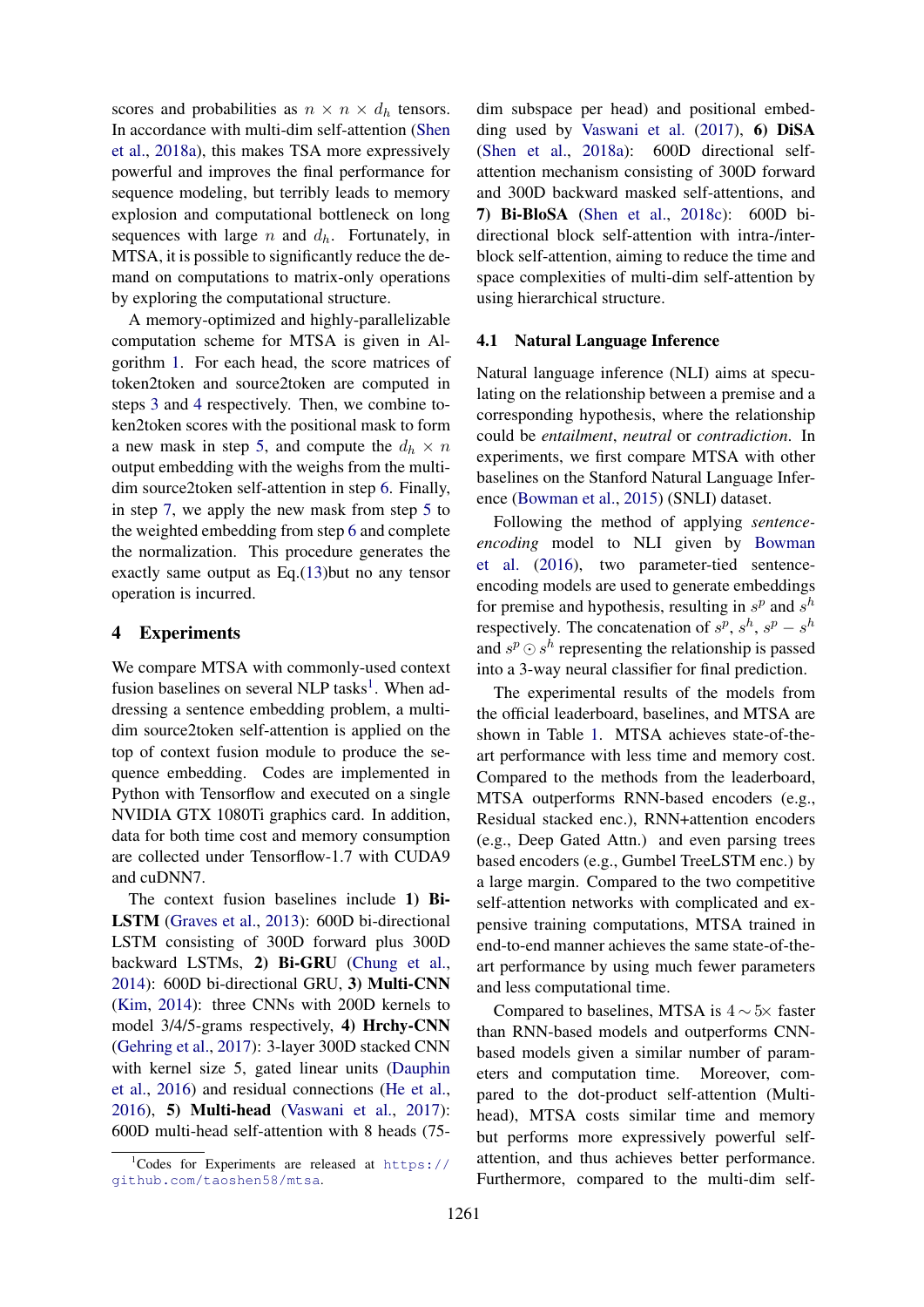scores and probabilities as  $n \times n \times d_h$  tensors. In accordance with multi-dim self-attention (Shen et al., 2018a), this makes TSA more expressively powerful and improves the final performance for sequence modeling, but terribly leads to memory explosion and computational bottleneck on long sequences with large n and  $d_h$ . Fortunately, in MTSA, it is possible to significantly reduce the demand on computations to matrix-only operations by exploring the computational structure.

A memory-optimized and highly-parallelizable computation scheme for MTSA is given in Algorithm 1. For each head, the score matrices of token2token and source2token are computed in steps 3 and 4 respectively. Then, we combine token2token scores with the positional mask to form a new mask in step 5, and compute the  $d_h \times n$ output embedding with the weighs from the multidim source2token self-attention in step 6. Finally, in step 7, we apply the new mask from step 5 to the weighted embedding from step 6 and complete the normalization. This procedure generates the exactly same output as Eq.(13)but no any tensor operation is incurred.

#### 4 Experiments

We compare MTSA with commonly-used context fusion baselines on several NLP tasks<sup>1</sup>. When addressing a sentence embedding problem, a multidim source2token self-attention is applied on the top of context fusion module to produce the sequence embedding. Codes are implemented in Python with Tensorflow and executed on a single NVIDIA GTX 1080Ti graphics card. In addition, data for both time cost and memory consumption are collected under Tensorflow-1.7 with CUDA9 and cuDNN7.

The context fusion baselines include 1) Bi-LSTM (Graves et al., 2013): 600D bi-directional LSTM consisting of 300D forward plus 300D backward LSTMs, 2) Bi-GRU (Chung et al., 2014): 600D bi-directional GRU, 3) Multi-CNN (Kim, 2014): three CNNs with 200D kernels to model 3/4/5-grams respectively, 4) Hrchy-CNN (Gehring et al., 2017): 3-layer 300D stacked CNN with kernel size 5, gated linear units (Dauphin et al., 2016) and residual connections (He et al., 2016), 5) Multi-head (Vaswani et al., 2017): 600D multi-head self-attention with 8 heads (75-

dim subspace per head) and positional embedding used by Vaswani et al. (2017), 6) DiSA (Shen et al., 2018a): 600D directional selfattention mechanism consisting of 300D forward and 300D backward masked self-attentions, and 7) Bi-BloSA (Shen et al., 2018c): 600D bidirectional block self-attention with intra-/interblock self-attention, aiming to reduce the time and space complexities of multi-dim self-attention by using hierarchical structure.

### 4.1 Natural Language Inference

Natural language inference (NLI) aims at speculating on the relationship between a premise and a corresponding hypothesis, where the relationship could be *entailment*, *neutral* or *contradiction*. In experiments, we first compare MTSA with other baselines on the Stanford Natural Language Inference (Bowman et al., 2015) (SNLI) dataset.

Following the method of applying *sentenceencoding* model to NLI given by Bowman et al. (2016), two parameter-tied sentenceencoding models are used to generate embeddings for premise and hypothesis, resulting in  $s^p$  and  $s^h$ respectively. The concatenation of  $s^p$ ,  $s^h$ ,  $s^p - s^h$ and  $s^p \odot s^h$  representing the relationship is passed into a 3-way neural classifier for final prediction.

The experimental results of the models from the official leaderboard, baselines, and MTSA are shown in Table 1. MTSA achieves state-of-theart performance with less time and memory cost. Compared to the methods from the leaderboard, MTSA outperforms RNN-based encoders (e.g., Residual stacked enc.), RNN+attention encoders (e.g., Deep Gated Attn.) and even parsing trees based encoders (e.g., Gumbel TreeLSTM enc.) by a large margin. Compared to the two competitive self-attention networks with complicated and expensive training computations, MTSA trained in end-to-end manner achieves the same state-of-theart performance by using much fewer parameters and less computational time.

Compared to baselines, MTSA is  $4 \sim 5 \times$  faster than RNN-based models and outperforms CNNbased models given a similar number of parameters and computation time. Moreover, compared to the dot-product self-attention (Multihead), MTSA costs similar time and memory but performs more expressively powerful selfattention, and thus achieves better performance. Furthermore, compared to the multi-dim self-

 $1$ Codes for Experiments are released at https:// github.com/taoshen58/mtsa.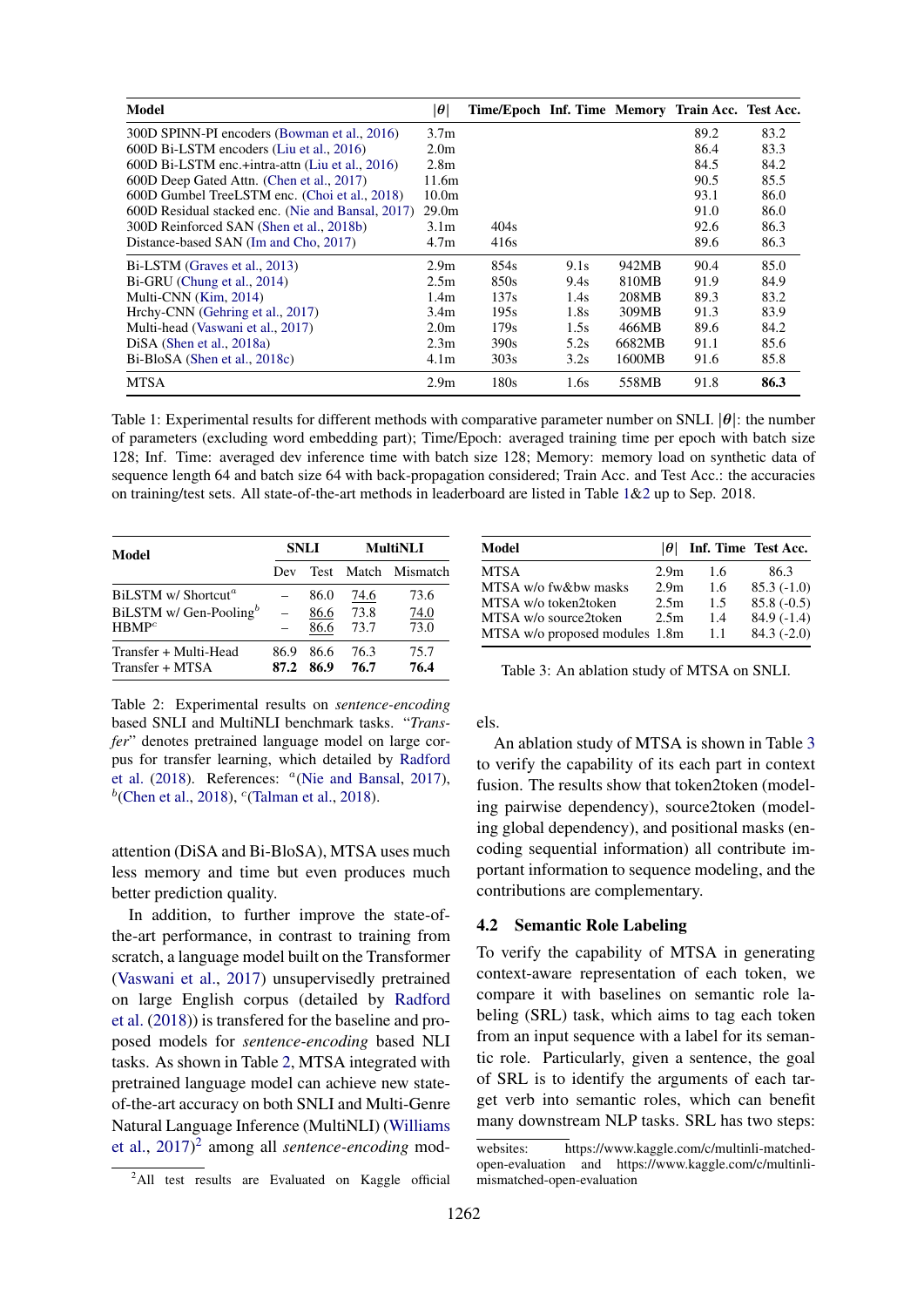| <b>Model</b>                                      | $ \boldsymbol{\theta} $ | Time/Epoch Inf. Time Memory Train Acc. Test Acc. |      |        |      |      |
|---------------------------------------------------|-------------------------|--------------------------------------------------|------|--------|------|------|
| 300D SPINN-PI encoders (Bowman et al., 2016)      | 3.7 <sub>m</sub>        |                                                  |      |        | 89.2 | 83.2 |
| 600D Bi-LSTM encoders (Liu et al., 2016)          | 2.0 <sub>m</sub>        |                                                  |      |        | 86.4 | 83.3 |
| 600D Bi-LSTM enc.+intra-attn (Liu et al., 2016)   | 2.8 <sub>m</sub>        |                                                  |      |        | 84.5 | 84.2 |
| 600D Deep Gated Attn. (Chen et al., 2017)         | 11.6m                   |                                                  |      |        | 90.5 | 85.5 |
| 600D Gumbel TreeLSTM enc. (Choi et al., 2018)     | 10.0 <sub>m</sub>       |                                                  |      |        | 93.1 | 86.0 |
| 600D Residual stacked enc. (Nie and Bansal, 2017) | 29.0 <sub>m</sub>       |                                                  |      |        | 91.0 | 86.0 |
| 300D Reinforced SAN (Shen et al., 2018b)          | 3.1 <sub>m</sub>        | 404 <sub>s</sub>                                 |      |        | 92.6 | 86.3 |
| Distance-based SAN (Im and Cho, 2017)             | 4.7 <sub>m</sub>        | 416s                                             |      |        | 89.6 | 86.3 |
| Bi-LSTM (Graves et al., 2013)                     | 2.9 <sub>m</sub>        | 854s                                             | 9.1s | 942MB  | 90.4 | 85.0 |
| Bi-GRU (Chung et al., 2014)                       | 2.5m                    | 850s                                             | 9.4s | 810MB  | 91.9 | 84.9 |
| Multi-CNN (Kim, 2014)                             | 1.4 <sub>m</sub>        | 137s                                             | 1.4s | 208MB  | 89.3 | 83.2 |
| Hrchy-CNN (Gehring et al., 2017)                  | 3.4 <sub>m</sub>        | 195s                                             | 1.8s | 309MB  | 91.3 | 83.9 |
| Multi-head (Vaswani et al., 2017)                 | 2.0 <sub>m</sub>        | 179s                                             | 1.5s | 466MB  | 89.6 | 84.2 |
| $DiSA$ (Shen et al., 2018a)                       | 2.3 <sub>m</sub>        | 390s                                             | 5.2s | 6682MB | 91.1 | 85.6 |
| Bi-BloSA (Shen et al., 2018c)                     | 4.1 <sub>m</sub>        | 303 <sub>s</sub>                                 | 3.2s | 1600MB | 91.6 | 85.8 |
| <b>MTSA</b>                                       | 2.9 <sub>m</sub>        | 180s                                             | 1.6s | 558MB  | 91.8 | 86.3 |

Table 1: Experimental results for different methods with comparative parameter number on SNLI.  $|\theta|$ : the number of parameters (excluding word embedding part); Time/Epoch: averaged training time per epoch with batch size 128; Inf. Time: averaged dev inference time with batch size 128; Memory: memory load on synthetic data of sequence length 64 and batch size 64 with back-propagation considered; Train Acc. and Test Acc.: the accuracies on training/test sets. All state-of-the-art methods in leaderboard are listed in Table 1&2 up to Sep. 2018.

| Model                              |      | <b>SNLI</b> | <b>MultiNLI</b> |                     |  |  |
|------------------------------------|------|-------------|-----------------|---------------------|--|--|
|                                    | Dev  |             |                 | Test Match Mismatch |  |  |
| BiLSTM w/ Shortcut <sup>a</sup>    |      | 86.0        | 74.6            | 73.6                |  |  |
| BiLSTM w/ Gen-Pooling <sup>b</sup> |      | 86.6        | 73.8            | 74.0                |  |  |
| HBMP <sup>c</sup>                  |      | 86.6        | 73.7            | 73.0                |  |  |
| Transfer + Multi-Head              | 86.9 | 86.6        | 76.3            | 75.7                |  |  |
| Transfer + MTSA                    |      | 87.2 86.9   | 76.7            | 76.4                |  |  |

Table 2: Experimental results on *sentence-encoding* based SNLI and MultiNLI benchmark tasks. "*Transfer*" denotes pretrained language model on large corpus for transfer learning, which detailed by Radford et al. (2018). References:  $a(Nie$  and Bansal, 2017),  $<sup>b</sup>$ (Chen et al., 2018), <sup>c</sup>(Talman et al., 2018).</sup>

attention (DiSA and Bi-BloSA), MTSA uses much less memory and time but even produces much better prediction quality.

In addition, to further improve the state-ofthe-art performance, in contrast to training from scratch, a language model built on the Transformer (Vaswani et al., 2017) unsupervisedly pretrained on large English corpus (detailed by Radford et al. (2018)) is transfered for the baseline and proposed models for *sentence-encoding* based NLI tasks. As shown in Table 2, MTSA integrated with pretrained language model can achieve new stateof-the-art accuracy on both SNLI and Multi-Genre Natural Language Inference (MultiNLI) (Williams et al., 2017) 2 among all *sentence-encoding* mod-

| Model                          | $\theta$ l       | Inf. Time Test Acc. |              |
|--------------------------------|------------------|---------------------|--------------|
| MTSA                           | 2.9 <sub>m</sub> | 1.6                 | 86.3         |
| MTSA w/o fw&bw masks           | 2.9 <sub>m</sub> | 1.6                 | $85.3(-1.0)$ |
| MTSA w/o token2token           | 2.5m             | 1.5                 | $85.8(-0.5)$ |
| MTSA w/o source2token          | 2.5m             | 1.4                 | $84.9(-1.4)$ |
| MTSA w/o proposed modules 1.8m |                  | 1.1                 | $84.3(-2.0)$ |

Table 3: An ablation study of MTSA on SNLI.

els.

An ablation study of MTSA is shown in Table 3 to verify the capability of its each part in context fusion. The results show that token2token (modeling pairwise dependency), source2token (modeling global dependency), and positional masks (encoding sequential information) all contribute important information to sequence modeling, and the contributions are complementary.

## 4.2 Semantic Role Labeling

To verify the capability of MTSA in generating context-aware representation of each token, we compare it with baselines on semantic role labeling (SRL) task, which aims to tag each token from an input sequence with a label for its semantic role. Particularly, given a sentence, the goal of SRL is to identify the arguments of each target verb into semantic roles, which can benefit many downstream NLP tasks. SRL has two steps:

<sup>&</sup>lt;sup>2</sup>All test results are Evaluated on Kaggle official

websites: https://www.kaggle.com/c/multinli-matchedopen-evaluation and https://www.kaggle.com/c/multinlimismatched-open-evaluation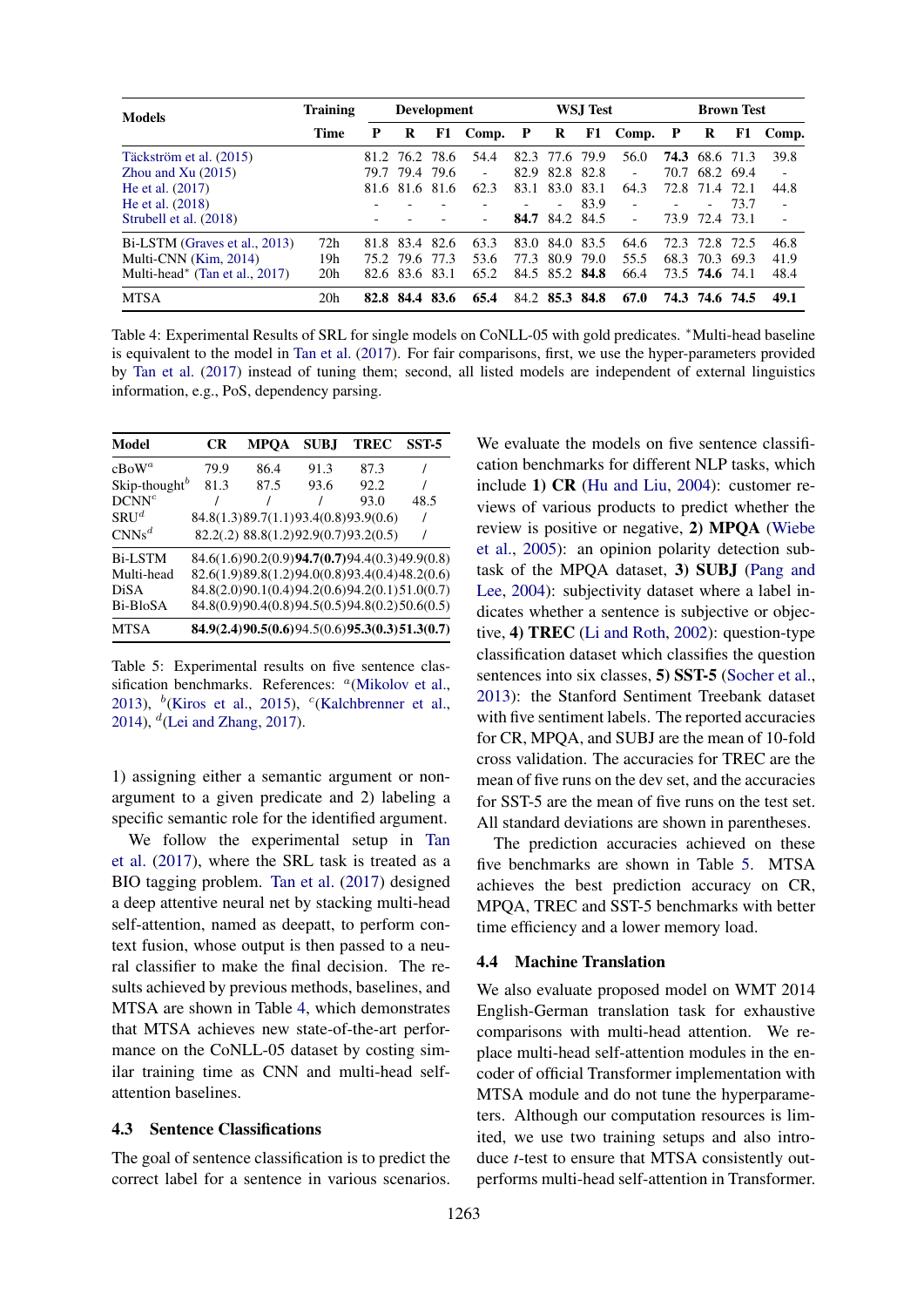| <b>Models</b>                              | <b>Training</b> |      | <b>Development</b> |           |                          | WSJ Test |                          |      | <b>Brown Test</b> |      |                          |       |                          |
|--------------------------------------------|-----------------|------|--------------------|-----------|--------------------------|----------|--------------------------|------|-------------------|------|--------------------------|-------|--------------------------|
|                                            | Time            | P    | R                  |           | F1 Comp. P               |          | R                        |      | F1 Comp. P        |      | R                        | F1    | Comp.                    |
| Täckström et al. (2015)                    |                 |      | 81.2 76.2 78.6     |           | 54.4                     |          | 82.3 77.6 79.9           |      | 56.0              |      | 74.3 68.6 71.3           |       | 39.8                     |
| Zhou and $Xu(2015)$                        |                 |      | 79.7 79.4          | 79.6      | $\overline{\phantom{0}}$ | 82.9     | 82.8 82.8                |      |                   |      | 70.7 68.2 69.4           |       |                          |
| He et al. (2017)                           |                 | 81.6 |                    | 81.6 81.6 | 62.3                     | 83.1     | 83.0                     | 83.1 | 64.3              | 72.8 | 71.4                     | 72.1  | 44.8                     |
| He et al. $(2018)$                         |                 |      |                    |           |                          |          | $\overline{\phantom{0}}$ | 83.9 |                   |      | $\overline{\phantom{a}}$ | 73.7  | $\overline{\phantom{a}}$ |
| Strubell et al. (2018)                     |                 |      |                    |           |                          |          | 84.7 84.2 84.5           |      |                   |      | 73.9 72.4 73.1           |       | $\overline{\phantom{a}}$ |
| Bi-LSTM (Graves et al., 2013)              | 72h             |      | 81.8 83.4          | -82.6     | 63.3                     | 83.0     | 84.0                     | 83.5 | 64.6              | 72.3 | 72.8                     | -72.5 | 46.8                     |
| Multi-CNN (Kim, 2014)                      | 19h             |      | 75.2.79.6          | 77.3      | 53.6                     | 77.3     | 80.9                     | 79.0 | 55.5              |      | 68.3 70.3                | 69.3  | 41.9                     |
| Multi-head <sup>*</sup> (Tan et al., 2017) | 20 <sub>h</sub> |      | 82.6 83.6 83.1     |           | 65.2                     |          | 84.5 85.2 84.8           |      | 66.4              |      | 73.5 74.6 74.1           |       | 48.4                     |
| <b>MTSA</b>                                | 20h             | 82.8 | -84.4              | -83.6     | 65.4                     |          | 84.2 85.3 84.8           |      | 67.0              |      | 74.3 74.6 74.5           |       | 49.1                     |

Table 4: Experimental Results of SRL for single models on CoNLL-05 with gold predicates. <sup>∗</sup>Multi-head baseline is equivalent to the model in Tan et al. (2017). For fair comparisons, first, we use the hyper-parameters provided by Tan et al. (2017) instead of tuning them; second, all listed models are independent of external linguistics information, e.g., PoS, dependency parsing.

| Model                     | CR   | <b>MPOA</b> | <b>SUBJ</b> | <b>TREC</b>                                     | SST-5 |
|---------------------------|------|-------------|-------------|-------------------------------------------------|-------|
| $c$ BoW <sup>a</sup>      | 79.9 | 86.4        | 91.3        | 87.3                                            |       |
| Skip-thought <sup>b</sup> | 81.3 | 87.5        | 93.6        | 92.2                                            |       |
| DCNN <sup>c</sup>         |      |             |             | 93.0                                            | 48.5  |
| $SRIJ^d$                  |      |             |             | 84.8(1.3)89.7(1.1)93.4(0.8)93.9(0.6)            |       |
| $CNNs^d$                  |      |             |             | 82.2(.2) 88.8(1.2)92.9(0.7)93.2(0.5)            |       |
| <b>Bi-LSTM</b>            |      |             |             | 84.6(1.6)90.2(0.9)94.7(0.7)94.4(0.3)49.9(0.8)   |       |
| Multi-head                |      |             |             | 82.6(1.9)89.8(1.2)94.0(0.8)93.4(0.4)48.2(0.6)   |       |
| DiSA                      |      |             |             | 84.8(2.0)90.1(0.4)94.2(0.6)94.2(0.1)51.0(0.7)   |       |
| Bi-BloSA                  |      |             |             | 84.8(0.9)90.4(0.8)94.5(0.5)94.8(0.2)50.6(0.5)   |       |
| <b>MTSA</b>               |      |             |             | $84.9(2.4)90.5(0.6)94.5(0.6)95.3(0.3)51.3(0.7)$ |       |

Table 5: Experimental results on five sentence classification benchmarks. References: <sup>a</sup>(Mikolov et al., 2013),  $\frac{b}{k}$ (Kiros et al., 2015), <sup>c</sup>(Kalchbrenner et al., 2014),  $^d$ (Lei and Zhang, 2017).

1) assigning either a semantic argument or nonargument to a given predicate and 2) labeling a specific semantic role for the identified argument.

We follow the experimental setup in Tan et al. (2017), where the SRL task is treated as a BIO tagging problem. Tan et al. (2017) designed a deep attentive neural net by stacking multi-head self-attention, named as deepatt, to perform context fusion, whose output is then passed to a neural classifier to make the final decision. The results achieved by previous methods, baselines, and MTSA are shown in Table 4, which demonstrates that MTSA achieves new state-of-the-art performance on the CoNLL-05 dataset by costing similar training time as CNN and multi-head selfattention baselines.

# 4.3 Sentence Classifications

The goal of sentence classification is to predict the correct label for a sentence in various scenarios.

We evaluate the models on five sentence classification benchmarks for different NLP tasks, which include 1) CR (Hu and Liu, 2004): customer reviews of various products to predict whether the review is positive or negative, 2) MPQA (Wiebe et al., 2005): an opinion polarity detection subtask of the MPQA dataset, 3) SUBJ (Pang and Lee, 2004): subjectivity dataset where a label indicates whether a sentence is subjective or objective, 4) TREC (Li and Roth, 2002): question-type classification dataset which classifies the question sentences into six classes, 5) SST-5 (Socher et al., 2013): the Stanford Sentiment Treebank dataset with five sentiment labels. The reported accuracies for CR, MPQA, and SUBJ are the mean of 10-fold cross validation. The accuracies for TREC are the mean of five runs on the dev set, and the accuracies for SST-5 are the mean of five runs on the test set. All standard deviations are shown in parentheses.

The prediction accuracies achieved on these five benchmarks are shown in Table 5. MTSA achieves the best prediction accuracy on CR, MPQA, TREC and SST-5 benchmarks with better time efficiency and a lower memory load.

## 4.4 Machine Translation

We also evaluate proposed model on WMT 2014 English-German translation task for exhaustive comparisons with multi-head attention. We replace multi-head self-attention modules in the encoder of official Transformer implementation with MTSA module and do not tune the hyperparameters. Although our computation resources is limited, we use two training setups and also introduce *t*-test to ensure that MTSA consistently outperforms multi-head self-attention in Transformer.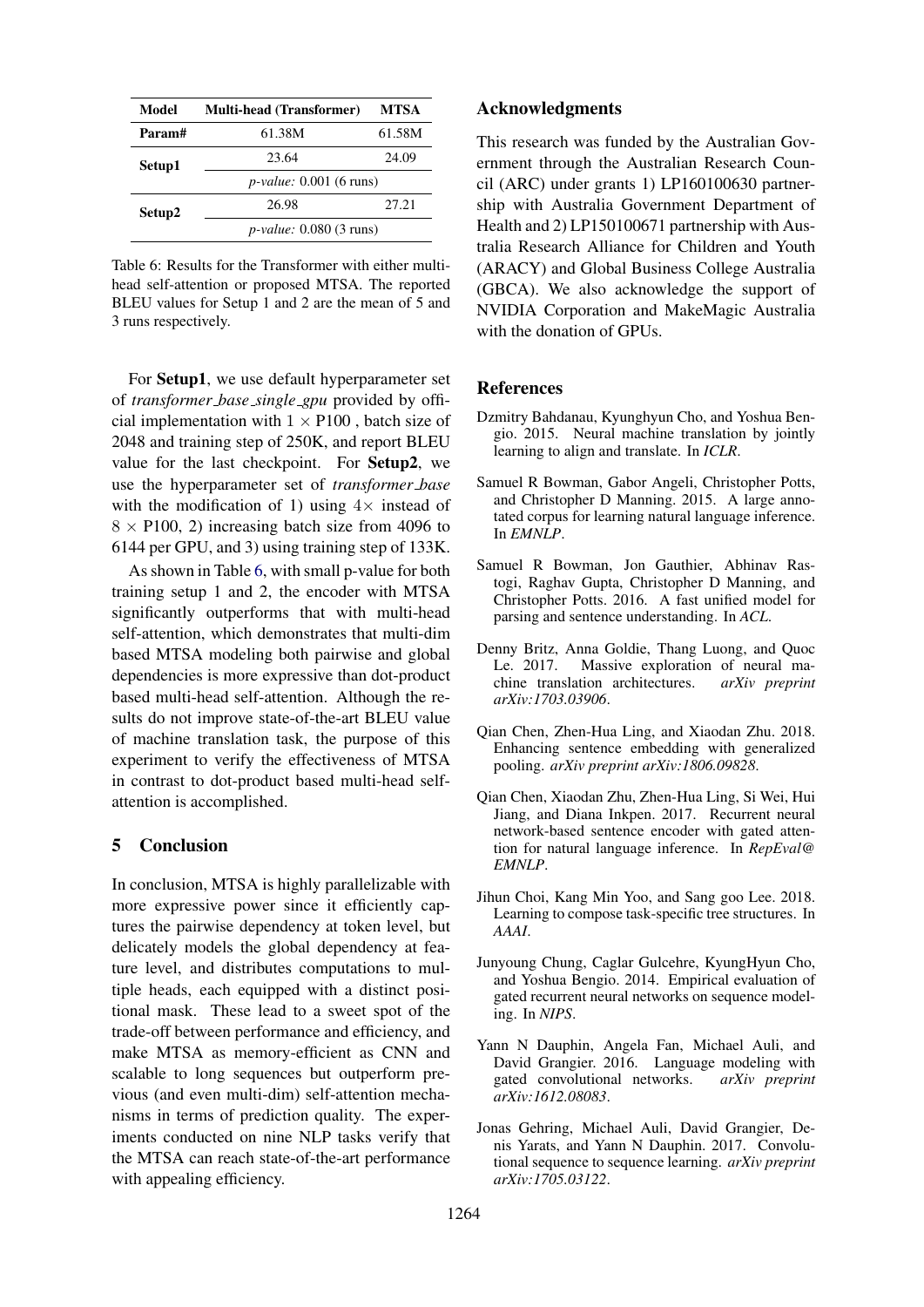| Model  | <b>Multi-head (Transformer)</b>  | MTSA   |  |  |  |  |
|--------|----------------------------------|--------|--|--|--|--|
| Param# | 61.38M                           | 61.58M |  |  |  |  |
| Setup1 | 23.64                            | 24.09  |  |  |  |  |
|        | $p$ -value: 0.001 (6 runs)       |        |  |  |  |  |
| Setup2 | 26.98                            | 27.21  |  |  |  |  |
|        | <i>p-value:</i> $0.080$ (3 runs) |        |  |  |  |  |

Table 6: Results for the Transformer with either multihead self-attention or proposed MTSA. The reported BLEU values for Setup 1 and 2 are the mean of 5 and 3 runs respectively.

For Setup1, we use default hyperparameter set of *transformer base single gpu* provided by official implementation with  $1 \times P100$ , batch size of 2048 and training step of 250K, and report BLEU value for the last checkpoint. For Setup2, we use the hyperparameter set of *transformer base* with the modification of 1) using  $4 \times$  instead of  $8 \times$  P100, 2) increasing batch size from 4096 to 6144 per GPU, and 3) using training step of 133K.

As shown in Table 6, with small p-value for both training setup 1 and 2, the encoder with MTSA significantly outperforms that with multi-head self-attention, which demonstrates that multi-dim based MTSA modeling both pairwise and global dependencies is more expressive than dot-product based multi-head self-attention. Although the results do not improve state-of-the-art BLEU value of machine translation task, the purpose of this experiment to verify the effectiveness of MTSA in contrast to dot-product based multi-head selfattention is accomplished.

# 5 Conclusion

In conclusion, MTSA is highly parallelizable with more expressive power since it efficiently captures the pairwise dependency at token level, but delicately models the global dependency at feature level, and distributes computations to multiple heads, each equipped with a distinct positional mask. These lead to a sweet spot of the trade-off between performance and efficiency, and make MTSA as memory-efficient as CNN and scalable to long sequences but outperform previous (and even multi-dim) self-attention mechanisms in terms of prediction quality. The experiments conducted on nine NLP tasks verify that the MTSA can reach state-of-the-art performance with appealing efficiency.

## Acknowledgments

This research was funded by the Australian Government through the Australian Research Council (ARC) under grants 1) LP160100630 partnership with Australia Government Department of Health and 2) LP150100671 partnership with Australia Research Alliance for Children and Youth (ARACY) and Global Business College Australia (GBCA). We also acknowledge the support of NVIDIA Corporation and MakeMagic Australia with the donation of GPUs.

## References

- Dzmitry Bahdanau, Kyunghyun Cho, and Yoshua Bengio. 2015. Neural machine translation by jointly learning to align and translate. In *ICLR*.
- Samuel R Bowman, Gabor Angeli, Christopher Potts, and Christopher D Manning. 2015. A large annotated corpus for learning natural language inference. In *EMNLP*.
- Samuel R Bowman, Jon Gauthier, Abhinav Rastogi, Raghav Gupta, Christopher D Manning, and Christopher Potts. 2016. A fast unified model for parsing and sentence understanding. In *ACL*.
- Denny Britz, Anna Goldie, Thang Luong, and Quoc Le. 2017. Massive exploration of neural machine translation architectures. *arXiv preprint arXiv:1703.03906*.
- Qian Chen, Zhen-Hua Ling, and Xiaodan Zhu. 2018. Enhancing sentence embedding with generalized pooling. *arXiv preprint arXiv:1806.09828*.
- Qian Chen, Xiaodan Zhu, Zhen-Hua Ling, Si Wei, Hui Jiang, and Diana Inkpen. 2017. Recurrent neural network-based sentence encoder with gated attention for natural language inference. In *RepEval@ EMNLP*.
- Jihun Choi, Kang Min Yoo, and Sang goo Lee. 2018. Learning to compose task-specific tree structures. In *AAAI*.
- Junyoung Chung, Caglar Gulcehre, KyungHyun Cho, and Yoshua Bengio. 2014. Empirical evaluation of gated recurrent neural networks on sequence modeling. In *NIPS*.
- Yann N Dauphin, Angela Fan, Michael Auli, and David Grangier. 2016. Language modeling with gated convolutional networks. *arXiv preprint arXiv:1612.08083*.
- Jonas Gehring, Michael Auli, David Grangier, Denis Yarats, and Yann N Dauphin. 2017. Convolutional sequence to sequence learning. *arXiv preprint arXiv:1705.03122*.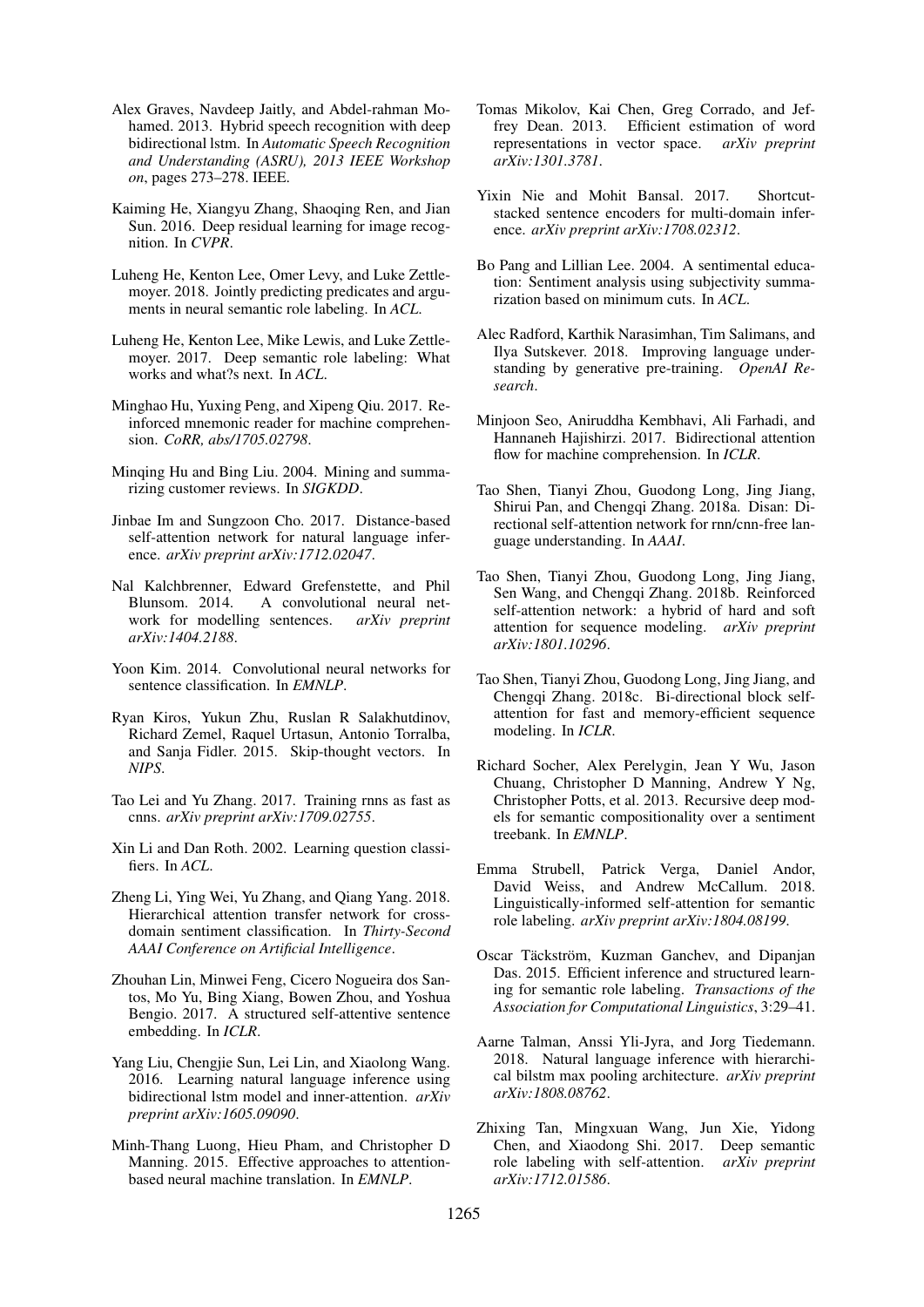- Alex Graves, Navdeep Jaitly, and Abdel-rahman Mohamed. 2013. Hybrid speech recognition with deep bidirectional lstm. In *Automatic Speech Recognition and Understanding (ASRU), 2013 IEEE Workshop on*, pages 273–278. IEEE.
- Kaiming He, Xiangyu Zhang, Shaoqing Ren, and Jian Sun. 2016. Deep residual learning for image recognition. In *CVPR*.
- Luheng He, Kenton Lee, Omer Levy, and Luke Zettlemoyer. 2018. Jointly predicting predicates and arguments in neural semantic role labeling. In *ACL*.
- Luheng He, Kenton Lee, Mike Lewis, and Luke Zettlemoyer. 2017. Deep semantic role labeling: What works and what?s next. In *ACL*.
- Minghao Hu, Yuxing Peng, and Xipeng Qiu. 2017. Reinforced mnemonic reader for machine comprehension. *CoRR, abs/1705.02798*.
- Minqing Hu and Bing Liu. 2004. Mining and summarizing customer reviews. In *SIGKDD*.
- Jinbae Im and Sungzoon Cho. 2017. Distance-based self-attention network for natural language inference. *arXiv preprint arXiv:1712.02047*.
- Nal Kalchbrenner, Edward Grefenstette, and Phil Blunsom. 2014. A convolutional neural network for modelling sentences. *arXiv preprint arXiv:1404.2188*.
- Yoon Kim. 2014. Convolutional neural networks for sentence classification. In *EMNLP*.
- Ryan Kiros, Yukun Zhu, Ruslan R Salakhutdinov, Richard Zemel, Raquel Urtasun, Antonio Torralba, and Sanja Fidler. 2015. Skip-thought vectors. In *NIPS*.
- Tao Lei and Yu Zhang. 2017. Training rnns as fast as cnns. *arXiv preprint arXiv:1709.02755*.
- Xin Li and Dan Roth. 2002. Learning question classifiers. In *ACL*.
- Zheng Li, Ying Wei, Yu Zhang, and Qiang Yang. 2018. Hierarchical attention transfer network for crossdomain sentiment classification. In *Thirty-Second AAAI Conference on Artificial Intelligence*.
- Zhouhan Lin, Minwei Feng, Cicero Nogueira dos Santos, Mo Yu, Bing Xiang, Bowen Zhou, and Yoshua Bengio. 2017. A structured self-attentive sentence embedding. In *ICLR*.
- Yang Liu, Chengjie Sun, Lei Lin, and Xiaolong Wang. 2016. Learning natural language inference using bidirectional lstm model and inner-attention. *arXiv preprint arXiv:1605.09090*.
- Minh-Thang Luong, Hieu Pham, and Christopher D Manning. 2015. Effective approaches to attentionbased neural machine translation. In *EMNLP*.
- Tomas Mikolov, Kai Chen, Greg Corrado, and Jeffrey Dean. 2013. Efficient estimation of word representations in vector space. *arXiv preprint arXiv:1301.3781*.
- Yixin Nie and Mohit Bansal. 2017. Shortcutstacked sentence encoders for multi-domain inference. *arXiv preprint arXiv:1708.02312*.
- Bo Pang and Lillian Lee. 2004. A sentimental education: Sentiment analysis using subjectivity summarization based on minimum cuts. In *ACL*.
- Alec Radford, Karthik Narasimhan, Tim Salimans, and Ilya Sutskever. 2018. Improving language understanding by generative pre-training. *OpenAI Research*.
- Minjoon Seo, Aniruddha Kembhavi, Ali Farhadi, and Hannaneh Hajishirzi. 2017. Bidirectional attention flow for machine comprehension. In *ICLR*.
- Tao Shen, Tianyi Zhou, Guodong Long, Jing Jiang, Shirui Pan, and Chengqi Zhang. 2018a. Disan: Directional self-attention network for rnn/cnn-free language understanding. In *AAAI*.
- Tao Shen, Tianyi Zhou, Guodong Long, Jing Jiang, Sen Wang, and Chengqi Zhang. 2018b. Reinforced self-attention network: a hybrid of hard and soft attention for sequence modeling. *arXiv preprint arXiv:1801.10296*.
- Tao Shen, Tianyi Zhou, Guodong Long, Jing Jiang, and Chengqi Zhang. 2018c. Bi-directional block selfattention for fast and memory-efficient sequence modeling. In *ICLR*.
- Richard Socher, Alex Perelygin, Jean Y Wu, Jason Chuang, Christopher D Manning, Andrew Y Ng, Christopher Potts, et al. 2013. Recursive deep models for semantic compositionality over a sentiment treebank. In *EMNLP*.
- Emma Strubell, Patrick Verga, Daniel Andor, David Weiss, and Andrew McCallum. 2018. Linguistically-informed self-attention for semantic role labeling. *arXiv preprint arXiv:1804.08199*.
- Oscar Täckström, Kuzman Ganchev, and Dipanjan Das. 2015. Efficient inference and structured learning for semantic role labeling. *Transactions of the Association for Computational Linguistics*, 3:29–41.
- Aarne Talman, Anssi Yli-Jyra, and Jorg Tiedemann. 2018. Natural language inference with hierarchical bilstm max pooling architecture. *arXiv preprint arXiv:1808.08762*.
- Zhixing Tan, Mingxuan Wang, Jun Xie, Yidong Chen, and Xiaodong Shi. 2017. Deep semantic role labeling with self-attention. *arXiv preprint arXiv:1712.01586*.